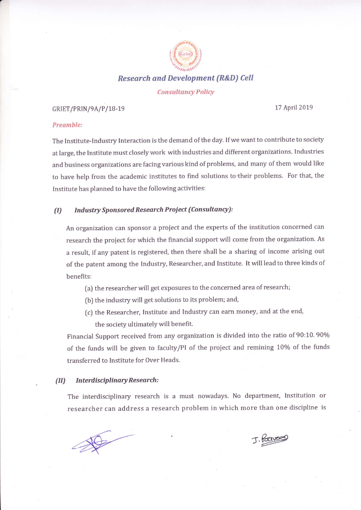

Research and Development {R&D) Cell

#### **Consultancy Policy**

# GRIET/PRIN/9A/P/18-19

17 April2019

# Preamble:

The Institute-Industry Interaction is the demand of the day. If we want to contribute to society at iarge, the Institute must closely work with industries and different organizations, industries and business organizations are facing various kind of problems, and many of them would like to have help from the academic institutes to find solutions to their problems. For that, the Institute has planned to have the following activities:

### (I) Industry Sponsored Research Project (Consultancy):

An organization can sponsor a project and the experts of the institution concerned can research the project for which the financial support will come from the organization. As a result, if any patent is registered, then there shall be a sharing of income arising out of the patent among the Industry, Researcher, and Institute. It will lead to three kinds of benefits:

- (a) the researcher will get exposures to the concerned area of research;
- [b) the industry will get solutions to its problem; and,
- (c) the Researcher, Institute and Industry can earn money, and at the end, the society ultimately wiil benefit.

Financial Support received from any organization is divided into the ratio of 90:10.90% of the funds will be given to faculty/PI of the project and remining 10% of the funds transferred to Institute for Over Heads.

#### (II) Interdisciplinary Research:

The interdisciplinary research is a must nowadays. No department, Institution or researcher can address a research problem in which more than one discipline is

J. Poeve